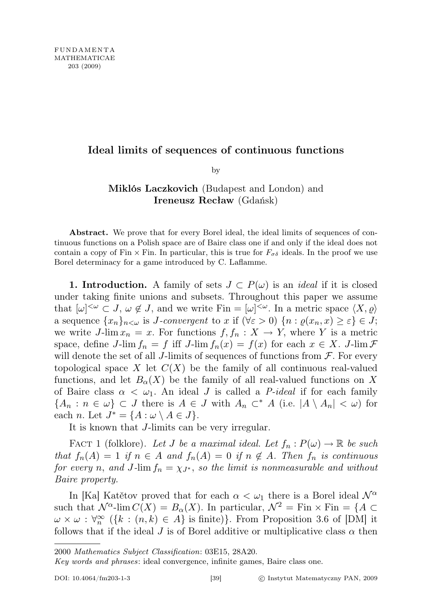## Ideal limits of sequences of continuous functions

by

## Miklós Laczkovich (Budapest and London) and Ireneusz Recław (Gdańsk)

Abstract. We prove that for every Borel ideal, the ideal limits of sequences of continuous functions on a Polish space are of Baire class one if and only if the ideal does not contain a copy of Fin  $\times$  Fin. In particular, this is true for  $F_{\sigma\delta}$  ideals. In the proof we use Borel determinacy for a game introduced by C. Laflamme.

1. Introduction. A family of sets  $J \subset P(\omega)$  is an *ideal* if it is closed under taking finite unions and subsets. Throughout this paper we assume that  $[\omega]^{<\omega} \subset J$ ,  $\omega \notin J$ , and we write Fin =  $[\omega]^{<\omega}$ . In a metric space  $\langle X, \varrho \rangle$ a sequence  $\{x_n\}_{n<\omega}$  is *J*-convergent to x if  $(\forall \varepsilon > 0)$   $\{n : \varrho(x_n, x) \geq \varepsilon\} \in J;$ we write J-lim  $x_n = x$ . For functions  $f, f_n : X \to Y$ , where Y is a metric space, define J-lim  $f_n = f$  iff J-lim  $f_n(x) = f(x)$  for each  $x \in X$ . J-lim  $\mathcal F$ will denote the set of all J-limits of sequences of functions from  $\mathcal F$ . For every topological space X let  $C(X)$  be the family of all continuous real-valued functions, and let  $B_{\alpha}(X)$  be the family of all real-valued functions on X of Baire class  $\alpha < \omega_1$ . An ideal J is called a P-ideal if for each family  ${A_n : n \in \omega} \subset J$  there is  $A \in J$  with  $A_n \subset^* A$  (i.e.  $|A \setminus A_n| < \omega$ ) for each *n*. Let  $J^* = \{A : \omega \setminus A \in J\}.$ 

It is known that J-limits can be very irregular.

FACT 1 (folklore). Let J be a maximal ideal. Let  $f_n : P(\omega) \to \mathbb{R}$  be such that  $f_n(A) = 1$  if  $n \in A$  and  $f_n(A) = 0$  if  $n \notin A$ . Then  $f_n$  is continuous for every n, and J-lim  $f_n = \chi_{J^*}$ , so the limit is nonmeasurable and without Baire property.

In [Ka] Katětov proved that for each  $\alpha < \omega_1$  there is a Borel ideal  $\mathcal{N}^{\alpha}$ such that  $\mathcal{N}^{\alpha}$ -lim  $C(X) = B_{\alpha}(X)$ . In particular,  $\mathcal{N}^2 = \text{Fin} \times \text{Fin} = \{A \subset$  $\omega \times \omega : \forall_n^{\infty} (\{k : (n,k) \in A\} \text{ is finite})\}.$  From Proposition 3.6 of [DM] it follows that if the ideal J is of Borel additive or multiplicative class  $\alpha$  then

Key words and phrases: ideal convergence, infinite games, Baire class one.

<sup>2000</sup> Mathematics Subject Classification: 03E15, 28A20.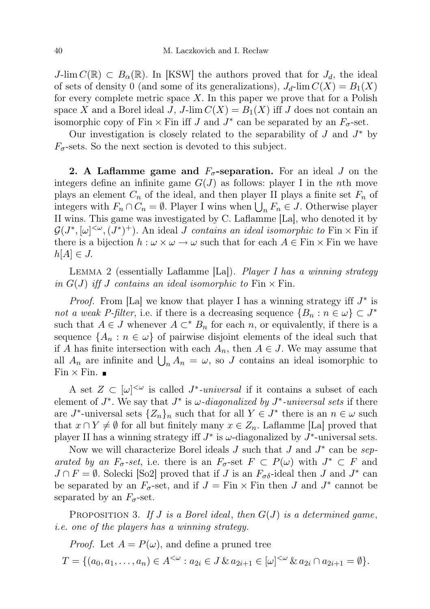J-lim  $C(\mathbb{R}) \subset B_{\alpha}(\mathbb{R})$ . In KSW the authors proved that for  $J_d$ , the ideal of sets of density 0 (and some of its generalizations),  $J_d$ -lim  $C(X) = B_1(X)$ for every complete metric space X. In this paper we prove that for a Polish space X and a Borel ideal J, J-lim  $C(X) = B_1(X)$  iff J does not contain an isomorphic copy of Fin  $\times$  Fin iff J and  $J^*$  can be separated by an  $F_{\sigma}$ -set.

Our investigation is closely related to the separability of  $J$  and  $J^*$  by  $F_{\sigma}$ -sets. So the next section is devoted to this subject.

**2.** A Laflamme game and  $F_{\sigma}$ -separation. For an ideal J on the integers define an infinite game  $G(J)$  as follows: player I in the nth move plays an element  $C_n$  of the ideal, and then player II plays a finite set  $F_n$  of integers with  $F_n \cap C_n = \emptyset$ . Player I wins when  $\bigcup_n F_n \in J$ . Otherwise player II wins. This game was investigated by C. Laflamme [La], who denoted it by  $\mathcal{G}(J^*,[\omega]^{<\omega},(J^*)^+)$ . An ideal *J contains an ideal isomorphic to* Fin × Fin if there is a bijection  $h : \omega \times \omega \to \omega$  such that for each  $A \in \text{Fin} \times \text{Fin}$  we have  $h[A] \in J$ .

LEMMA 2 (essentially Laflamme [La]). Player I has a winning strategy in  $G(J)$  iff J contains an ideal isomorphic to Fin  $\times$  Fin.

*Proof.* From [La] we know that player I has a winning strategy iff  $J^*$  is not a weak P-filter, i.e. if there is a decreasing sequence  $\{B_n : n \in \omega\} \subset J^*$ such that  $A \in J$  whenever  $A \subset K^n$  for each n, or equivalently, if there is a sequence  $\{A_n : n \in \omega\}$  of pairwise disjoint elements of the ideal such that if A has finite intersection with each  $A_n$ , then  $A \in J$ . We may assume that all  $A_n$  are infinite and  $\bigcup_n A_n = \omega$ , so J contains an ideal isomorphic to  $\text{Fin} \times \text{Fin}.$ 

A set  $Z \subset [\omega]^{<\omega}$  is called J<sup>\*</sup>-universal if it contains a subset of each element of  $J^*$ . We say that  $J^*$  is  $\omega$ -diagonalized by  $J^*$ -universal sets if there are  $J^*$ -universal sets  $\{Z_n\}_n$  such that for all  $Y \in J^*$  there is an  $n \in \omega$  such that  $x \cap Y \neq \emptyset$  for all but finitely many  $x \in Z_n$ . Laflamme [La] proved that player II has a winning strategy iff  $J^*$  is  $\omega$ -diagonalized by  $J^*$ -universal sets.

Now we will characterize Borel ideals  $J$  such that  $J$  and  $J^*$  can be separated by an  $F_{\sigma}$ -set, i.e. there is an  $F_{\sigma}$ -set  $F \subset P(\omega)$  with  $J^* \subset F$  and  $J \cap F = \emptyset$ . Solecki [So2] proved that if J is an  $F_{\sigma \delta}$ -ideal then J and  $J^*$  can be separated by an  $F_{\sigma}$ -set, and if  $J = \text{Fin} \times \text{Fin}$  then J and  $J^*$  cannot be separated by an  $F_{\sigma}$ -set.

PROPOSITION 3. If J is a Borel ideal, then  $G(J)$  is a determined game, i.e. one of the players has a winning strategy.

*Proof.* Let  $A = P(\omega)$ , and define a pruned tree

 $T = \{ (a_0, a_1, \ldots, a_n) \in A^{<\omega} : a_{2i} \in J \& a_{2i+1} \in [\omega]^{<\omega} \& a_{2i} \cap a_{2i+1} = \emptyset \}.$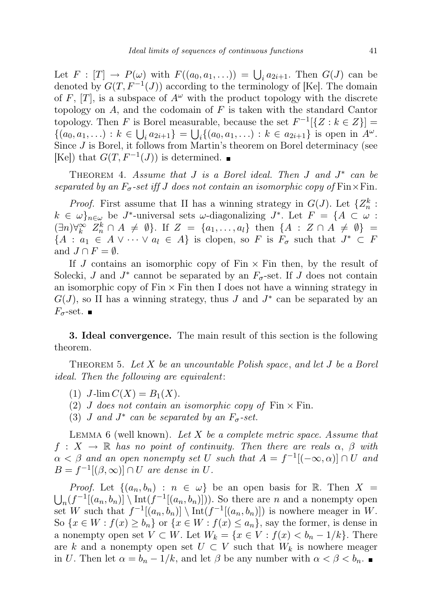Let  $F : [T] \to P(\omega)$  with  $F((a_0, a_1, \ldots)) = \bigcup_i a_{2i+1}$ . Then  $G(J)$  can be denoted by  $G(T, F^{-1}(J))$  according to the terminology of [Ke]. The domain of F,  $[T]$ , is a subspace of  $A^{\omega}$  with the product topology with the discrete topology on  $A$ , and the codomain of  $F$  is taken with the standard Cantor topology. Then F is Borel measurable, because the set  $F^{-1}[\{Z : k \in Z\}] =$  $\{(a_0, a_1, \ldots) : k \in \bigcup_i a_{2i+1}\} = \bigcup_i \{(a_0, a_1, \ldots) : k \in a_{2i+1}\}$  is open in  $A^\omega$ . Since  $J$  is Borel, it follows from Martin's theorem on Borel determinacy (see [Ke]) that  $G(T, F^{-1}(J))$  is determined.

THEOREM 4. Assume that  $J$  is a Borel ideal. Then  $J$  and  $J^*$  can be separated by an  $F_{\sigma}$ -set iff J does not contain an isomorphic copy of Fin $\times$ Fin.

*Proof.* First assume that II has a winning strategy in  $G(J)$ . Let  $\{Z_n^k:$  $k \in \omega\}_{n\in\omega}$  be J<sup>\*</sup>-universal sets  $\omega$ -diagonalizing J<sup>\*</sup>. Let  $F = \{A \subset \omega :$  $(\exists n) \forall_k^{\infty} Z_n^k \cap A \neq \emptyset$ . If  $Z = \{a_1, \ldots, a_l\}$  then  $\{A : Z \cap A \neq \emptyset\} =$  ${A : a_1 \in A \vee \cdots \vee a_l \in A}$  is clopen, so F is  $F_{\sigma}$  such that  $J^* \subset F$ and  $J \cap F = \emptyset$ .

If J contains an isomorphic copy of  $Fin \times Fin$  then, by the result of Solecki, J and  $J^*$  cannot be separated by an  $F_{\sigma}$ -set. If J does not contain an isomorphic copy of  $\text{Fin} \times \text{Fin}$  then I does not have a winning strategy in  $G(J)$ , so II has a winning strategy, thus J and  $J^*$  can be separated by an  $F_{\sigma}$ -set.  $\blacksquare$ 

3. Ideal convergence. The main result of this section is the following theorem.

THEOREM 5. Let  $X$  be an uncountable Polish space, and let  $J$  be a Borel ideal. Then the following are equivalent:

- (1)  $J\text{-lim }C(X) = B_1(X)$ .
- (2) J does not contain an isomorphic copy of  $\text{Fin} \times \text{Fin}$ .
- (3) *J* and  $J^*$  can be separated by an  $F_{\sigma}$ -set.

LEMMA 6 (well known). Let X be a complete metric space. Assume that  $f: X \to \mathbb{R}$  has no point of continuity. Then there are reals  $\alpha, \beta$  with  $\alpha < \beta$  and an open nonempty set U such that  $A = f^{-1}[(-\infty, \alpha)] \cap U$  and  $B = f^{-1}[(\beta, \infty)] \cap U$  are dense in U.

*Proof.* Let  $\{(a_n, b_n) : n \in \omega\}$  be an open basis for R. Then  $X =$  $\bigcup_n(f^{-1}[(a_n,b_n)] \setminus \text{Int}(f^{-1}[(a_n,b_n)]))$ . So there are n and a nonempty open set W such that  $f^{-1}[(a_n, b_n)] \setminus \text{Int}(f^{-1}[(a_n, b_n)])$  is nowhere meager in W. So  $\{x \in W : f(x) \ge b_n\}$  or  $\{x \in W : f(x) \le a_n\}$ , say the former, is dense in a nonempty open set  $V \subset W$ . Let  $W_k = \{x \in V : f(x) < b_n - 1/k\}$ . There are k and a nonempty open set  $U \subset V$  such that  $W_k$  is nowhere meager in U. Then let  $\alpha = b_n - 1/k$ , and let  $\beta$  be any number with  $\alpha < \beta < b_n$ .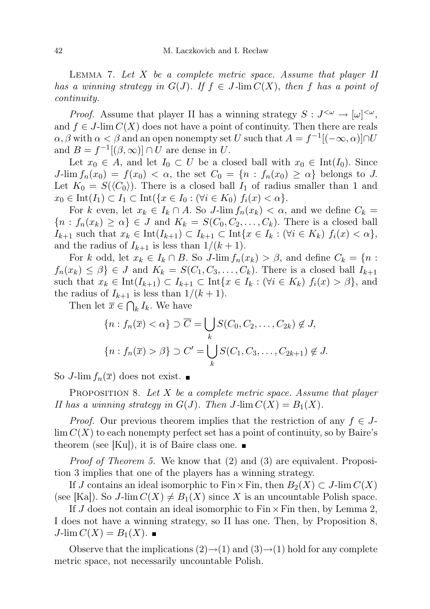LEMMA 7. Let  $X$  be a complete metric space. Assume that player  $II$ has a winning strategy in  $G(J)$ . If  $f \in J$ -lim  $C(X)$ , then f has a point of continuity.

*Proof.* Assume that player II has a winning strategy  $S: J^{<\omega} \to [\omega]^{<\omega}$ , and  $f \in J$ -lim  $C(X)$  does not have a point of continuity. Then there are reals  $\alpha, \beta$  with  $\alpha < \beta$  and an open nonempty set U such that  $A = f^{-1}[(-\infty, \alpha)] \cap U$ and  $B = f^{-1}[(\beta, \infty)] \cap U$  are dense in U.

Let  $x_0 \in A$ , and let  $I_0 \subset U$  be a closed ball with  $x_0 \in Int(I_0)$ . Since  $J\text{-lim }f_n(x_0) = f(x_0) < \alpha$ , the set  $C_0 = \{n : f_n(x_0) \geq \alpha\}$  belongs to J. Let  $K_0 = S(\langle C_0 \rangle)$ . There is a closed ball  $I_1$  of radius smaller than 1 and  $x_0 \in \text{Int}(I_1) \subset I_1 \subset \text{Int}(\{x \in I_0 : (\forall i \in K_0) \ f_i(x) < \alpha\}).$ 

For k even, let  $x_k \in I_k \cap A$ . So J-lim  $f_n(x_k) < \alpha$ , and we define  $C_k =$  ${n : f_n(x_k) \geq \alpha} \in J$  and  $K_k = S(C_0, C_2, \ldots, C_k)$ . There is a closed ball  $I_{k+1}$  such that  $x_k \in \text{Int}(I_{k+1}) \subset I_{k+1} \subset \text{Int}\{x \in I_k : (\forall i \in K_k) \ f_i(x) < \alpha\},$ and the radius of  $I_{k+1}$  is less than  $1/(k+1)$ .

For k odd, let  $x_k \in I_k \cap B$ . So J-lim  $f_n(x_k) > \beta$ , and define  $C_k = \{n :$  $f_n(x_k) \leq \beta$   $\in$  J and  $K_k = S(C_1, C_3, \ldots, C_k)$ . There is a closed ball  $I_{k+1}$ such that  $x_k \in \text{Int}(I_{k+1}) \subset I_{k+1} \subset \text{Int}\{x \in I_k : (\forall i \in K_k) f_i(x) > \beta\}$ , and the radius of  $I_{k+1}$  is less than  $1/(k+1)$ .

Then let  $\overline{x} \in \bigcap_k I_k$ . We have

$$
\{n : f_n(\overline{x}) < \alpha\} \supset \overline{C} = \bigcup_k S(C_0, C_2, \dots, C_{2k}) \notin J,
$$
\n
$$
\{n : f_n(\overline{x}) > \beta\} \supset C' = \bigcup_k S(C_1, C_3, \dots, C_{2k+1}) \notin J.
$$

So J-lim  $f_n(\overline{x})$  does not exist.

**PROPOSITION 8.** Let X be a complete metric space. Assume that player II has a winning strategy in  $G(J)$ . Then  $J$ -lim  $C(X) = B_1(X)$ .

*Proof.* Our previous theorem implies that the restriction of any  $f \in J$ - $\lim C(X)$  to each nonempty perfect set has a point of continuity, so by Baire's theorem (see [Ku]), it is of Baire class one.  $\blacksquare$ 

Proof of Theorem 5. We know that (2) and (3) are equivalent. Proposition 3 implies that one of the players has a winning strategy.

If J contains an ideal isomorphic to Fin × Fin, then  $B_2(X) \subset J$ -lim  $C(X)$ (see [Ka]). So J-lim  $C(X) \neq B_1(X)$  since X is an uncountable Polish space.

If J does not contain an ideal isomorphic to  $Fin \times Fin$  then, by Lemma 2, I does not have a winning strategy, so II has one. Then, by Proposition 8,  $J$ -lim  $C(X) = B_1(X)$ .

Observe that the implications  $(2) \rightarrow (1)$  and  $(3) \rightarrow (1)$  hold for any complete metric space, not necessarily uncountable Polish.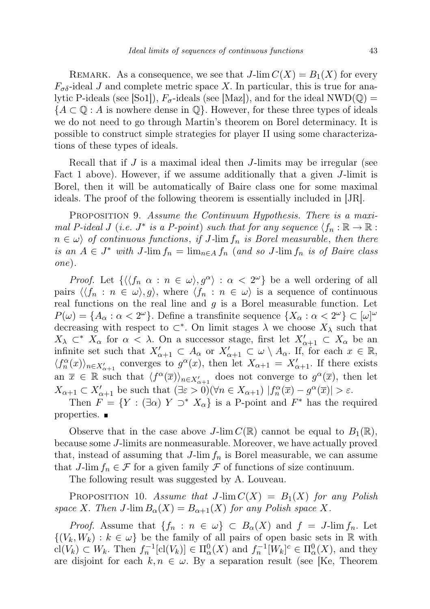REMARK. As a consequence, we see that  $J$ -lim  $C(X) = B_1(X)$  for every  $F_{\sigma\delta}$ -ideal J and complete metric space X. In particular, this is true for analytic P-ideals (see  $|Sol|$ ),  $F_{\sigma}$ -ideals (see  $|Max|$ ), and for the ideal NWD( $\mathbb{Q}$ ) =  ${A \subset \mathbb{Q} : A \text{ is nowhere dense in } \mathbb{Q}}$ . However, for these three types of ideals we do not need to go through Martin's theorem on Borel determinacy. It is possible to construct simple strategies for player II using some characterizations of these types of ideals.

Recall that if  $J$  is a maximal ideal then  $J$ -limits may be irregular (see Fact 1 above). However, if we assume additionally that a given J-limit is Borel, then it will be automatically of Baire class one for some maximal ideals. The proof of the following theorem is essentially included in [JR].

PROPOSITION 9. Assume the Continuum Hypothesis. There is a maximal P-ideal J (i.e.  $J^*$  is a P-point) such that for any sequence  $\langle f_n : \mathbb{R} \to \mathbb{R} :$  $n \in \omega$  of continuous functions, if J-lim  $f_n$  is Borel measurable, then there is an  $A \in J^*$  with  $J$ -lim  $f_n = \lim_{n \in A} f_n$  (and so  $J$ -lim  $f_n$  is of Baire class one).

*Proof.* Let  $\{\langle f_n \alpha : n \in \omega \rangle, g^{\alpha}\rangle : \alpha < 2^{\omega}\}\$ be a well ordering of all pairs  $\langle f_n : n \in \omega \rangle, g \rangle$ , where  $\langle f_n : n \in \omega \rangle$  is a sequence of continuous real functions on the real line and  $q$  is a Borel measurable function. Let  $P(\omega) = \{A_\alpha : \alpha < 2^{\omega}\}\.$  Define a transfinite sequence  $\{X_\alpha : \alpha < 2^{\omega}\}\subset [\omega]^\omega$ decreasing with respect to  $\subset^*$ . On limit stages  $\lambda$  we choose  $X_\lambda$  such that  $X_{\lambda} \subset^* X_{\alpha}$  for  $\alpha < \lambda$ . On a successor stage, first let  $X'_{\alpha+1} \subset X_{\alpha}$  be an infinite set such that  $X'_{\alpha+1} \subset A_{\alpha}$  or  $X'_{\alpha+1} \subset \omega \setminus A_{\alpha}$ . If, for each  $x \in \mathbb{R}$ ,  $\langle f_n^{\alpha}(x) \rangle_{n \in X'_{\alpha+1}}$  converges to  $g^{\alpha}(x)$ , then let  $X_{\alpha+1} = X'_{\alpha+1}$ . If there exists an  $\bar{x} \in \mathbb{R}$  such that  $\langle f^{\alpha}(\bar{x}) \rangle_{n \in X'_{\alpha+1}}$  does not converge to  $g^{\alpha}(\bar{x})$ , then let  $X_{\alpha+1} \subset X'_{\alpha+1}$  be such that  $(\exists \varepsilon > 0)(\forall n \in X_{\alpha+1}) | f_n^{\alpha}(\overline{x}) - g^{\alpha}(\overline{x})| > \varepsilon$ .

Then  $F = \{ Y : (\exists \alpha) Y \supset^* X_\alpha \}$  is a P-point and  $F^*$  has the required properties.

Observe that in the case above J-lim  $C(\mathbb{R})$  cannot be equal to  $B_1(\mathbb{R}),$ because some J-limits are nonmeasurable. Moreover, we have actually proved that, instead of assuming that  $J$ -lim  $f_n$  is Borel measurable, we can assume that J-lim  $f_n \in \mathcal{F}$  for a given family  $\mathcal F$  of functions of size continuum.

The following result was suggested by A. Louveau.

PROPOSITION 10. Assume that  $J\text{-lim }C(X) = B_1(X)$  for any Polish space X. Then  $J$ -lim  $B_{\alpha}(X) = B_{\alpha+1}(X)$  for any Polish space X.

*Proof.* Assume that  $\{f_n : n \in \omega\} \subset B_\alpha(X)$  and  $f = J$ -lim  $f_n$ . Let  $\{(V_k, W_k) : k \in \omega\}$  be the family of all pairs of open basic sets in R with  $\text{cl}(V_k) \subset W_k$ . Then  $f_n^{-1}[\text{cl}(V_k)] \in \Pi_\alpha^0(X)$  and  $f_n^{-1}[W_k]^c \in \Pi_\alpha^0(X)$ , and they are disjoint for each  $k, n \in \omega$ . By a separation result (see [Ke, Theorem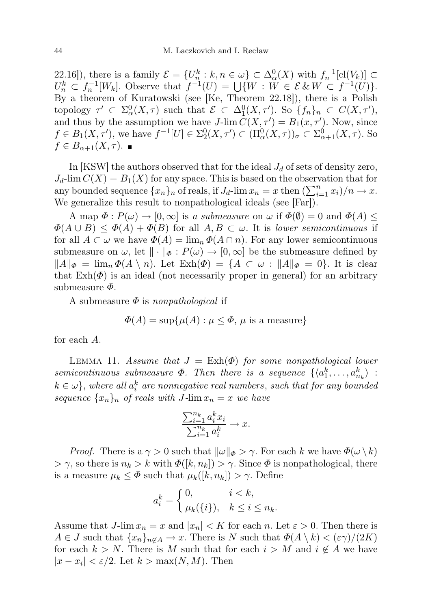22.16]), there is a family  $\mathcal{E} = \{U_n^k : k, n \in \omega\} \subset \Delta_{\alpha}^0(X)$  with  $f_n^{-1}[\text{cl}(V_k)] \subset$  $U_n^k \subset f_n^{-1}[W_k]$ . Observe that  $f^{-1}(U) = \bigcup \{W : \overline{W} \in \mathcal{E} \& W \subset f^{-1}(U)\}.$ By a theorem of Kuratowski (see [Ke, Theorem 22.18]), there is a Polish topology  $\tau' \subset \Sigma^0_\alpha(X, \tau)$  such that  $\mathcal{E} \subset \Delta^0_1(X, \tau')$ . So  $\{f_n\}_n \subset C(X, \tau')$ , and thus by the assumption we have  $J$ -lim  $C(X, \tau') = B_1(x, \tau')$ . Now, since  $f \in B_1(X, \tau')$ , we have  $f^{-1}[U] \in \Sigma^0_2(X, \tau') \subset (\Pi^0_\alpha(X, \tau))_\sigma \subset \Sigma^0_{\alpha+1}(X, \tau)$ . So  $f \in B_{\alpha+1}(X,\tau)$ .

In [KSW] the authors observed that for the ideal  $J_d$  of sets of density zero,  $J_d$ -lim  $C(X) = B_1(X)$  for any space. This is based on the observation that for any bounded sequence  $\{x_n\}_n$  of reals, if  $J_d$ -lim  $x_n = x$  then  $\left(\sum_{i=1}^n x_i\right)/n \to x$ . We generalize this result to nonpathological ideals (see [Far]).

A map  $\Phi: P(\omega) \to [0, \infty]$  is a submeasure on  $\omega$  if  $\Phi(\emptyset) = 0$  and  $\Phi(A) \leq$  $\Phi(A \cup B) \leq \Phi(A) + \Phi(B)$  for all  $A, B \subset \omega$ . It is lower semicontinuous if for all  $A \subset \omega$  we have  $\Phi(A) = \lim_{n \to \infty} \Phi(A \cap n)$ . For any lower semicontinuous submeasure on  $\omega$ , let  $\|\cdot\|_{\Phi}: P(\omega) \to [0,\infty]$  be the submeasure defined by  $||A||_{\Phi} = \lim_{n} \Phi(A \setminus n)$ . Let  $\text{Exh}(\Phi) = \{A \subset \omega : ||A||_{\Phi} = 0\}$ . It is clear that  $\text{Exh}(\Phi)$  is an ideal (not necessarily proper in general) for an arbitrary submeasure  $\Phi$ .

A submeasure  $\Phi$  is nonpathological if

$$
\Phi(A) = \sup \{ \mu(A) : \mu \le \Phi, \mu \text{ is a measure} \}
$$

for each A.

LEMMA 11. Assume that  $J = \text{Exh}(\Phi)$  for some nonpathological lower semicontinuous submeasure  $\Phi$ . Then there is a sequence  $\{\langle a_1^k, \ldots, a_{n_k}^k \rangle :$  $k \in \omega$ , where all  $a_i^k$  are nonnegative real numbers, such that for any bounded sequence  $\{x_n\}_n$  of reals with J-lim  $x_n = x$  we have

$$
\frac{\sum_{i=1}^{n_k} a_i^k x_i}{\sum_{i=1}^{n_k} a_i^k} \to x.
$$

*Proof.* There is a  $\gamma > 0$  such that  $\|\omega\|_{\Phi} > \gamma$ . For each k we have  $\Phi(\omega \setminus k)$  $> \gamma$ , so there is  $n_k > k$  with  $\Phi([k, n_k]) > \gamma$ . Since  $\Phi$  is nonpathological, there is a measure  $\mu_k \leq \Phi$  such that  $\mu_k([k, n_k]) > \gamma$ . Define

$$
a_i^k = \begin{cases} 0, & i < k, \\ \mu_k(\{i\}), & k \le i \le n_k. \end{cases}
$$

Assume that  $J$ -lim  $x_n = x$  and  $|x_n| < K$  for each n. Let  $\varepsilon > 0$ . Then there is  $A \in J$  such that  $\{x_n\}_{n \notin A} \to x$ . There is N such that  $\Phi(A \setminus k) < (\varepsilon \gamma)/(2K)$ for each  $k > N$ . There is M such that for each  $i > M$  and  $i \notin A$  we have  $|x - x_i| < \varepsilon/2$ . Let  $k > \max(N, M)$ . Then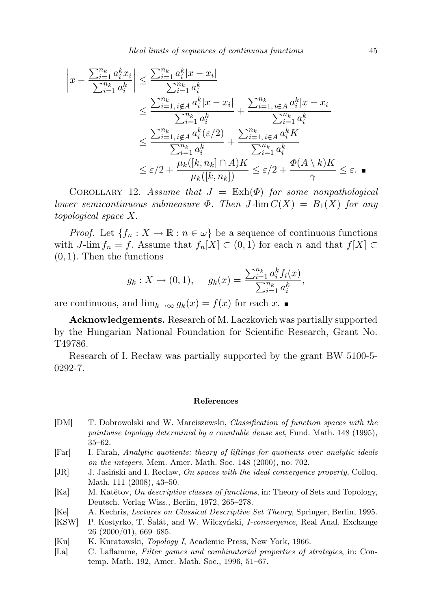Ideal limits of sequences of continuous functions 45

$$
\left| x - \frac{\sum_{i=1}^{n_k} a_i^k x_i}{\sum_{i=1}^{n_k} a_i^k} \right| \leq \frac{\sum_{i=1}^{n_k} a_i^k |x - x_i|}{\sum_{i=1}^{n_k} a_i^k} \leq \frac{\sum_{i=1, i \notin A}^{n_k} a_i^k |x - x_i|}{\sum_{i=1}^{n_k} a_i^k} + \frac{\sum_{i=1, i \in A}^{n_k} a_i^k |x - x_i|}{\sum_{i=1}^{n_k} a_i^k} \leq \frac{\sum_{i=1, i \notin A}^{n_k} a_i^k (\varepsilon/2)}{\sum_{i=1}^{n_k} a_i^k} + \frac{\sum_{i=1, i \in A}^{n_k} a_i^k K}{\sum_{i=1}^{n_k} a_i^k} \leq \varepsilon/2 + \frac{\mu_k([k, n_k] \cap A)K}{\mu_k([k, n_k])} \leq \varepsilon/2 + \frac{\Phi(A \setminus k)K}{\gamma} \leq \varepsilon.
$$

COROLLARY 12. Assume that  $J = \text{Exh}(\Phi)$  for some nonpathological lower semicontinuous submeasure  $\Phi$ . Then J-lim  $C(X) = B_1(X)$  for any topological space X.

*Proof.* Let  $\{f_n : X \to \mathbb{R} : n \in \omega\}$  be a sequence of continuous functions with J-lim  $f_n = f$ . Assume that  $f_n[X] \subset (0,1)$  for each n and that  $f[X] \subset$  $(0, 1)$ . Then the functions

$$
g_k: X \to (0,1), \quad g_k(x) = \frac{\sum_{i=1}^{n_k} a_i^k f_i(x)}{\sum_{i=1}^{n_k} a_i^k},
$$

are continuous, and  $\lim_{k\to\infty} q_k(x) = f(x)$  for each x. ■

Acknowledgements. Research of M. Laczkovich was partially supported by the Hungarian National Foundation for Scientific Research, Grant No. T49786.

Research of I. Recław was partially supported by the grant BW 5100-5- 0292-7.

## References

- [DM] T. Dobrowolski and W. Marciszewski, Classification of function spaces with the pointwise topology determined by a countable dense set, Fund. Math. 148 (1995), 35–62.
- [Far] I. Farah, Analytic quotients: theory of liftings for quotients over analytic ideals on the integers, Mem. Amer. Math. Soc. 148 (2000), no. 702.
- [JR] J. Jasiński and I. Recław, On spaces with the ideal convergence property, Colloq. Math. 111 (2008), 43–50.
- [Ka] M. Katětov, On descriptive classes of functions, in: Theory of Sets and Topology, Deutsch. Verlag Wiss., Berlin, 1972, 265–278.
- [Ke] A. Kechris, Lectures on Classical Descriptive Set Theory, Springer, Berlin, 1995.
- [KSW] P. Kostyrko, T. Šalát, and W. Wilczyński, I-convergence, Real Anal. Exchange 26 (2000/01), 669–685.
- [Ku] K. Kuratowski, *Topology I*, Academic Press, New York, 1966.
- [La] C. Laflamme, Filter games and combinatorial properties of strategies, in: Contemp. Math. 192, Amer. Math. Soc., 1996, 51–67.